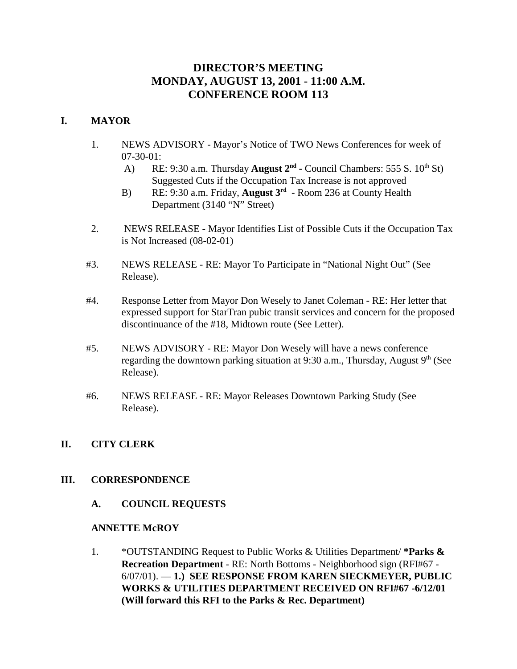# **DIRECTOR'S MEETING MONDAY, AUGUST 13, 2001 - 11:00 A.M. CONFERENCE ROOM 113**

## **I. MAYOR**

- 1. NEWS ADVISORY Mayor's Notice of TWO News Conferences for week of 07-30-01:
	- A) RE: 9:30 a.m. Thursday **August 2<sup>nd</sup>** Council Chambers: 555 S. 10<sup>th</sup> St) Suggested Cuts if the Occupation Tax Increase is not approved
	- B) RE: 9:30 a.m. Friday, **August 3rd** Room 236 at County Health Department (3140 "N" Street)
- 2. NEWS RELEASE Mayor Identifies List of Possible Cuts if the Occupation Tax is Not Increased (08-02-01)
- #3. NEWS RELEASE RE: Mayor To Participate in "National Night Out" (See Release).
- #4. Response Letter from Mayor Don Wesely to Janet Coleman RE: Her letter that expressed support for StarTran pubic transit services and concern for the proposed discontinuance of the #18, Midtown route (See Letter).
- #5. NEWS ADVISORY RE: Mayor Don Wesely will have a news conference regarding the downtown parking situation at 9:30 a.m., Thursday, August  $9<sup>th</sup>$  (See Release).
- #6. NEWS RELEASE RE: Mayor Releases Downtown Parking Study (See Release).

## **II. CITY CLERK**

## **III. CORRESPONDENCE**

**A. COUNCIL REQUESTS**

## **ANNETTE McROY**

1. \*OUTSTANDING Request to Public Works & Utilities Department/ **\*Parks & Recreation Department** - RE: North Bottoms - Neighborhood sign (RFI#67 - 6/07/01). — **1.) SEE RESPONSE FROM KAREN SIECKMEYER, PUBLIC WORKS & UTILITIES DEPARTMENT RECEIVED ON RFI#67 -6/12/01 (Will forward this RFI to the Parks & Rec. Department)**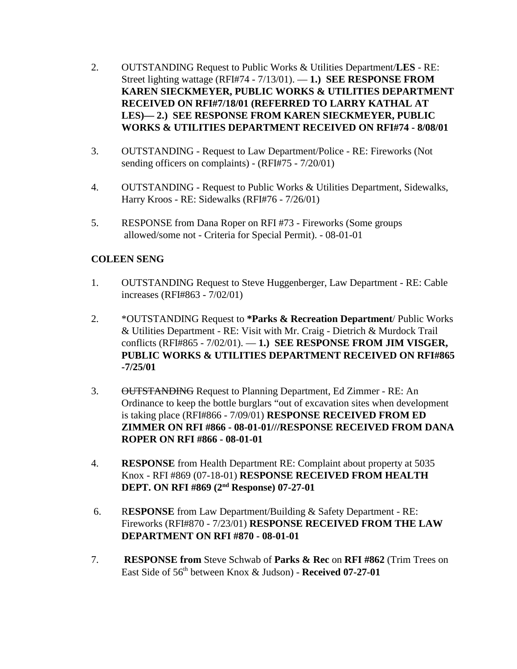- 2. OUTSTANDING Request to Public Works & Utilities Department/**LES** RE: Street lighting wattage (RFI#74 - 7/13/01). — **1.) SEE RESPONSE FROM KAREN SIECKMEYER, PUBLIC WORKS & UTILITIES DEPARTMENT RECEIVED ON RFI#7/18/01 (REFERRED TO LARRY KATHAL AT LES)— 2.) SEE RESPONSE FROM KAREN SIECKMEYER, PUBLIC WORKS & UTILITIES DEPARTMENT RECEIVED ON RFI#74 - 8/08/01**
- 3. OUTSTANDING Request to Law Department/Police RE: Fireworks (Not sending officers on complaints) - (RFI#75 - 7/20/01)
- 4. OUTSTANDING Request to Public Works & Utilities Department, Sidewalks, Harry Kroos - RE: Sidewalks (RFI#76 - 7/26/01)
- 5. RESPONSE from Dana Roper on RFI #73 Fireworks (Some groups allowed/some not - Criteria for Special Permit). - 08-01-01

## **COLEEN SENG**

- 1. OUTSTANDING Request to Steve Huggenberger, Law Department RE: Cable increases (RFI#863 - 7/02/01)
- 2. \*OUTSTANDING Request to **\*Parks & Recreation Department**/ Public Works & Utilities Department - RE: Visit with Mr. Craig - Dietrich & Murdock Trail conflicts (RFI#865 - 7/02/01). — **1.) SEE RESPONSE FROM JIM VISGER, PUBLIC WORKS & UTILITIES DEPARTMENT RECEIVED ON RFI#865 -7/25/01**
- 3. OUTSTANDING Request to Planning Department, Ed Zimmer RE: An Ordinance to keep the bottle burglars "out of excavation sites when development is taking place (RFI#866 - 7/09/01) **RESPONSE RECEIVED FROM ED ZIMMER ON RFI #866 - 08-01-01///RESPONSE RECEIVED FROM DANA ROPER ON RFI #866 - 08-01-01**
- 4. **RESPONSE** from Health Department RE: Complaint about property at 5035 Knox - RFI #869 (07-18-01) **RESPONSE RECEIVED FROM HEALTH DEPT. ON RFI #869 (2nd Response) 07-27-01**
- 6. R**ESPONSE** from Law Department/Building & Safety Department RE: Fireworks (RFI#870 - 7/23/01) **RESPONSE RECEIVED FROM THE LAW DEPARTMENT ON RFI #870 - 08-01-01**
- 7. **RESPONSE from** Steve Schwab of **Parks & Rec** on **RFI #862** (Trim Trees on East Side of 56th between Knox & Judson) - **Received 07-27-01**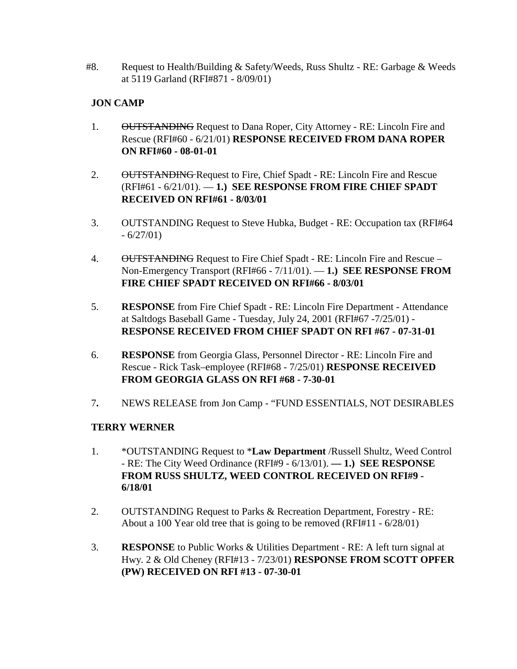#8. Request to Health/Building  $&$  Safety/Weeds, Russ Shultz - RE: Garbage  $&$  Weeds at 5119 Garland (RFI#871 - 8/09/01)

# **JON CAMP**

- 1. OUTSTANDING Request to Dana Roper, City Attorney RE: Lincoln Fire and Rescue (RFI#60 - 6/21/01) **RESPONSE RECEIVED FROM DANA ROPER ON RFI#60 - 08-01-01**
- 2. OUTSTANDING Request to Fire, Chief Spadt RE: Lincoln Fire and Rescue (RFI#61 - 6/21/01). — **1.) SEE RESPONSE FROM FIRE CHIEF SPADT RECEIVED ON RFI#61 - 8/03/01**
- 3. OUTSTANDING Request to Steve Hubka, Budget RE: Occupation tax (RFI#64  $-6/27/01$
- 4. OUTSTANDING Request to Fire Chief Spadt RE: Lincoln Fire and Rescue Non-Emergency Transport (RFI#66 - 7/11/01). — **1.) SEE RESPONSE FROM FIRE CHIEF SPADT RECEIVED ON RFI#66 - 8/03/01**
- 5. **RESPONSE** from Fire Chief Spadt RE: Lincoln Fire Department Attendance at Saltdogs Baseball Game - Tuesday, July 24, 2001 (RFI#67 -7/25/01) - **RESPONSE RECEIVED FROM CHIEF SPADT ON RFI #67 - 07-31-01**
- 6. **RESPONSE** from Georgia Glass, Personnel Director RE: Lincoln Fire and Rescue - Rick Task–employee (RFI#68 - 7/25/01) **RESPONSE RECEIVED FROM GEORGIA GLASS ON RFI #68 - 7-30-01**
- 7**.** NEWS RELEASE from Jon Camp "FUND ESSENTIALS, NOT DESIRABLES

# **TERRY WERNER**

- 1. \*OUTSTANDING Request to \***Law Department** /Russell Shultz, Weed Control - RE: The City Weed Ordinance (RFI#9 - 6/13/01). **— 1.) SEE RESPONSE FROM RUSS SHULTZ, WEED CONTROL RECEIVED ON RFI#9 - 6/18/01**
- 2. OUTSTANDING Request to Parks & Recreation Department, Forestry RE: About a 100 Year old tree that is going to be removed (RFI#11 - 6/28/01)
- 3. **RESPONSE** to Public Works & Utilities Department RE: A left turn signal at Hwy. 2 & Old Cheney (RFI#13 - 7/23/01) **RESPONSE FROM SCOTT OPFER (PW) RECEIVED ON RFI #13 - 07-30-01**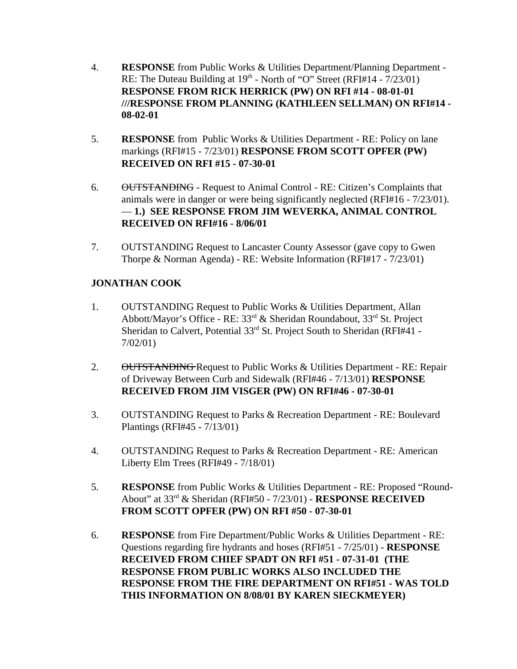- 4. **RESPONSE** from Public Works & Utilities Department/Planning Department RE: The Duteau Building at  $19<sup>th</sup>$  - North of "O" Street (RFI#14 -  $7/23/01$ ) **RESPONSE FROM RICK HERRICK (PW) ON RFI #14 - 08-01-01 ///RESPONSE FROM PLANNING (KATHLEEN SELLMAN) ON RFI#14 - 08-02-01**
- 5. **RESPONSE** from Public Works & Utilities Department RE: Policy on lane markings (RFI#15 - 7/23/01) **RESPONSE FROM SCOTT OPFER (PW) RECEIVED ON RFI #15 - 07-30-01**
- 6. OUTSTANDING Request to Animal Control RE: Citizen's Complaints that animals were in danger or were being significantly neglected (RFI#16 - 7/23/01). — **1.) SEE RESPONSE FROM JIM WEVERKA, ANIMAL CONTROL RECEIVED ON RFI#16 - 8/06/01**
- 7. OUTSTANDING Request to Lancaster County Assessor (gave copy to Gwen Thorpe & Norman Agenda) - RE: Website Information (RFI#17 - 7/23/01)

# **JONATHAN COOK**

- 1. OUTSTANDING Request to Public Works & Utilities Department, Allan Abbott/Mayor's Office - RE: 33rd & Sheridan Roundabout, 33rd St. Project Sheridan to Calvert, Potential 33<sup>rd</sup> St. Project South to Sheridan (RFI#41 -7/02/01)
- 2. OUTSTANDING Request to Public Works & Utilities Department RE: Repair of Driveway Between Curb and Sidewalk (RFI#46 - 7/13/01) **RESPONSE RECEIVED FROM JIM VISGER (PW) ON RFI#46 - 07-30-01**
- 3. OUTSTANDING Request to Parks & Recreation Department RE: Boulevard Plantings (RFI#45 - 7/13/01)
- 4. OUTSTANDING Request to Parks & Recreation Department RE: American Liberty Elm Trees (RFI#49 - 7/18/01)
- 5. **RESPONSE** from Public Works & Utilities Department RE: Proposed "Round-About" at 33rd & Sheridan (RFI#50 - 7/23/01) - **RESPONSE RECEIVED FROM SCOTT OPFER (PW) ON RFI #50 - 07-30-01**
- 6. **RESPONSE** from Fire Department/Public Works & Utilities Department RE: Questions regarding fire hydrants and hoses (RFI#51 - 7/25/01) - **RESPONSE RECEIVED FROM CHIEF SPADT ON RFI #51 - 07-31-01 (THE RESPONSE FROM PUBLIC WORKS ALSO INCLUDED THE RESPONSE FROM THE FIRE DEPARTMENT ON RFI#51 - WAS TOLD THIS INFORMATION ON 8/08/01 BY KAREN SIECKMEYER)**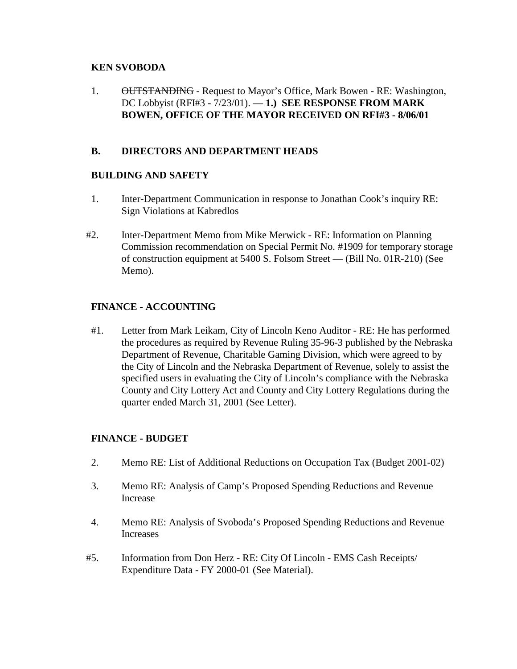## **KEN SVOBODA**

1. OUTSTANDING - Request to Mayor's Office, Mark Bowen - RE: Washington, DC Lobbyist (RFI#3 - 7/23/01). — **1.) SEE RESPONSE FROM MARK BOWEN, OFFICE OF THE MAYOR RECEIVED ON RFI#3 - 8/06/01**

# **B. DIRECTORS AND DEPARTMENT HEADS**

## **BUILDING AND SAFETY**

- 1. Inter-Department Communication in response to Jonathan Cook's inquiry RE: Sign Violations at Kabredlos
- #2. Inter-Department Memo from Mike Merwick RE: Information on Planning Commission recommendation on Special Permit No. #1909 for temporary storage of construction equipment at 5400 S. Folsom Street — (Bill No. 01R-210) (See Memo).

# **FINANCE - ACCOUNTING**

#1. Letter from Mark Leikam, City of Lincoln Keno Auditor - RE: He has performed the procedures as required by Revenue Ruling 35-96-3 published by the Nebraska Department of Revenue, Charitable Gaming Division, which were agreed to by the City of Lincoln and the Nebraska Department of Revenue, solely to assist the specified users in evaluating the City of Lincoln's compliance with the Nebraska County and City Lottery Act and County and City Lottery Regulations during the quarter ended March 31, 2001 (See Letter).

# **FINANCE - BUDGET**

- 2. Memo RE: List of Additional Reductions on Occupation Tax (Budget 2001-02)
- 3. Memo RE: Analysis of Camp's Proposed Spending Reductions and Revenue Increase
- 4. Memo RE: Analysis of Svoboda's Proposed Spending Reductions and Revenue Increases
- #5. Information from Don Herz RE: City Of Lincoln EMS Cash Receipts/ Expenditure Data - FY 2000-01 (See Material).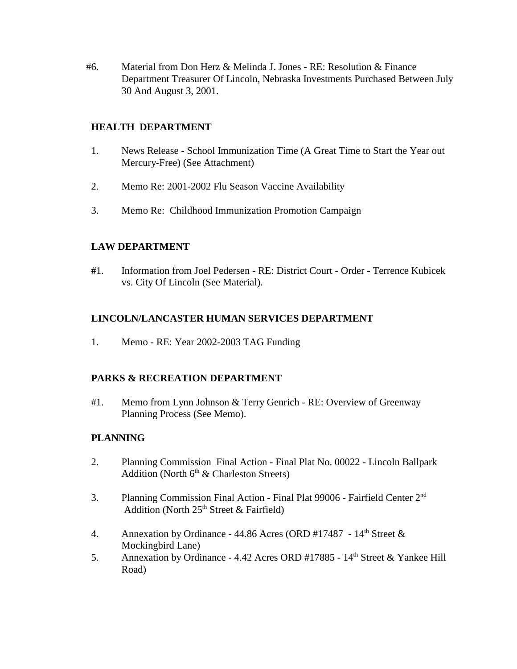#6. Material from Don Herz & Melinda J. Jones - RE: Resolution & Finance Department Treasurer Of Lincoln, Nebraska Investments Purchased Between July 30 And August 3, 2001.

## **HEALTH DEPARTMENT**

- 1. News Release School Immunization Time (A Great Time to Start the Year out Mercury-Free) (See Attachment)
- 2. Memo Re: 2001-2002 Flu Season Vaccine Availability
- 3. Memo Re: Childhood Immunization Promotion Campaign

## **LAW DEPARTMENT**

**#**1. Information from Joel Pedersen - RE: District Court - Order - Terrence Kubicek vs. City Of Lincoln (See Material).

## **LINCOLN/LANCASTER HUMAN SERVICES DEPARTMENT**

1. Memo - RE: Year 2002-2003 TAG Funding

## **PARKS & RECREATION DEPARTMENT**

#1. Memo from Lynn Johnson & Terry Genrich - RE: Overview of Greenway Planning Process (See Memo).

## **PLANNING**

- 2. Planning Commission Final Action Final Plat No. 00022 Lincoln Ballpark Addition (North  $6<sup>th</sup>$  & Charleston Streets)
- 3. Planning Commission Final Action Final Plat 99006 Fairfield Center 2nd Addition (North  $25<sup>th</sup>$  Street & Fairfield)
- 4. Annexation by Ordinance 44.86 Acres (ORD #17487  $14<sup>th</sup>$  Street & Mockingbird Lane)
- 5. Annexation by Ordinance 4.42 Acres ORD #17885 14<sup>th</sup> Street & Yankee Hill Road)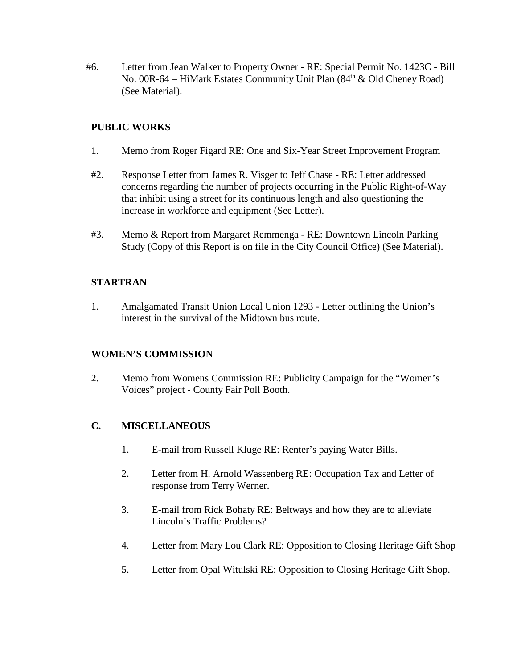#6. Letter from Jean Walker to Property Owner - RE: Special Permit No. 1423C - Bill No. 00R-64 – HiMark Estates Community Unit Plan  $(84<sup>th</sup> \& 0$ ld Cheney Road) (See Material).

## **PUBLIC WORKS**

- 1. Memo from Roger Figard RE: One and Six-Year Street Improvement Program
- #2. Response Letter from James R. Visger to Jeff Chase RE: Letter addressed concerns regarding the number of projects occurring in the Public Right-of-Way that inhibit using a street for its continuous length and also questioning the increase in workforce and equipment (See Letter).
- #3. Memo & Report from Margaret Remmenga RE: Downtown Lincoln Parking Study (Copy of this Report is on file in the City Council Office) (See Material).

## **STARTRAN**

1. Amalgamated Transit Union Local Union 1293 - Letter outlining the Union's interest in the survival of the Midtown bus route.

## **WOMEN'S COMMISSION**

2. Memo from Womens Commission RE: Publicity Campaign for the "Women's Voices" project - County Fair Poll Booth.

# **C. MISCELLANEOUS**

- 1. E-mail from Russell Kluge RE: Renter's paying Water Bills.
- 2. Letter from H. Arnold Wassenberg RE: Occupation Tax and Letter of response from Terry Werner.
- 3. E-mail from Rick Bohaty RE: Beltways and how they are to alleviate Lincoln's Traffic Problems?
- 4. Letter from Mary Lou Clark RE: Opposition to Closing Heritage Gift Shop
- 5. Letter from Opal Witulski RE: Opposition to Closing Heritage Gift Shop.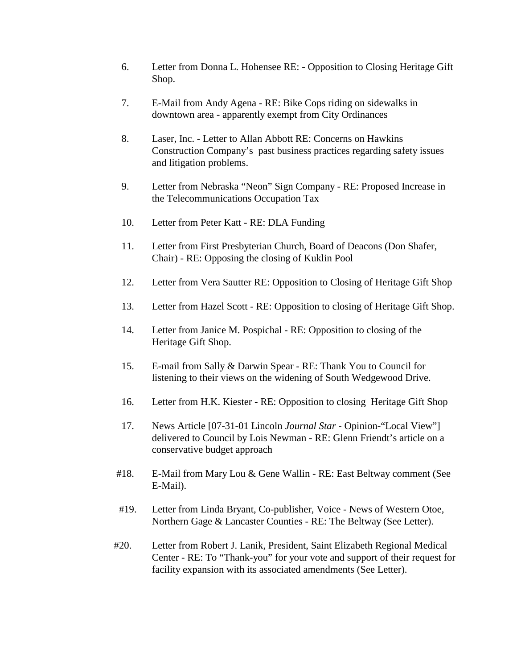- 6. Letter from Donna L. Hohensee RE: Opposition to Closing Heritage Gift Shop.
- 7. E-Mail from Andy Agena RE: Bike Cops riding on sidewalks in downtown area - apparently exempt from City Ordinances
- 8. Laser, Inc. Letter to Allan Abbott RE: Concerns on Hawkins Construction Company's past business practices regarding safety issues and litigation problems.
- 9. Letter from Nebraska "Neon" Sign Company RE: Proposed Increase in the Telecommunications Occupation Tax
- 10. Letter from Peter Katt RE: DLA Funding
- 11. Letter from First Presbyterian Church, Board of Deacons (Don Shafer, Chair) - RE: Opposing the closing of Kuklin Pool
- 12. Letter from Vera Sautter RE: Opposition to Closing of Heritage Gift Shop
- 13. Letter from Hazel Scott RE: Opposition to closing of Heritage Gift Shop.
- 14. Letter from Janice M. Pospichal RE: Opposition to closing of the Heritage Gift Shop.
- 15. E-mail from Sally & Darwin Spear RE: Thank You to Council for listening to their views on the widening of South Wedgewood Drive.
- 16. Letter from H.K. Kiester RE: Opposition to closing Heritage Gift Shop
- 17. News Article [07-31-01 Lincoln *Journal Star* Opinion-"Local View"] delivered to Council by Lois Newman - RE: Glenn Friendt's article on a conservative budget approach
- #18. E-Mail from Mary Lou & Gene Wallin RE: East Beltway comment (See E-Mail).
- #19. Letter from Linda Bryant, Co-publisher, Voice News of Western Otoe, Northern Gage & Lancaster Counties - RE: The Beltway (See Letter).
- #20. Letter from Robert J. Lanik, President, Saint Elizabeth Regional Medical Center - RE: To "Thank-you" for your vote and support of their request for facility expansion with its associated amendments (See Letter).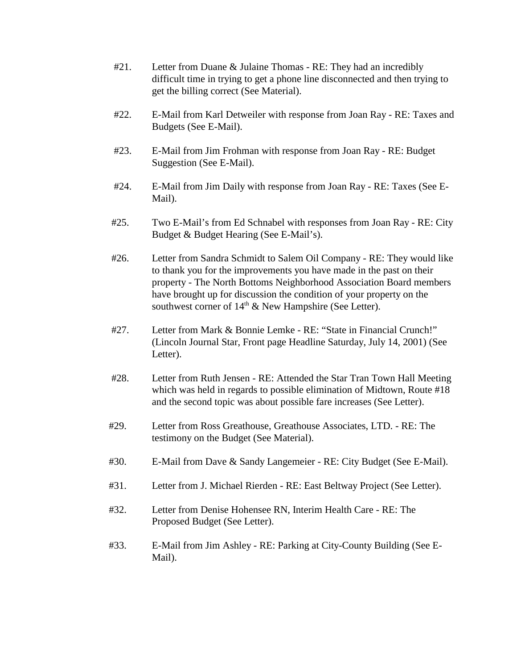- #21. Letter from Duane & Julaine Thomas RE: They had an incredibly difficult time in trying to get a phone line disconnected and then trying to get the billing correct (See Material).
- #22. E-Mail from Karl Detweiler with response from Joan Ray RE: Taxes and Budgets (See E-Mail).
- #23. E-Mail from Jim Frohman with response from Joan Ray RE: Budget Suggestion (See E-Mail).
- #24. E-Mail from Jim Daily with response from Joan Ray RE: Taxes (See E-Mail).
- #25. Two E-Mail's from Ed Schnabel with responses from Joan Ray RE: City Budget & Budget Hearing (See E-Mail's).
- #26. Letter from Sandra Schmidt to Salem Oil Company RE: They would like to thank you for the improvements you have made in the past on their property - The North Bottoms Neighborhood Association Board members have brought up for discussion the condition of your property on the southwest corner of  $14<sup>th</sup>$  & New Hampshire (See Letter).
- #27. Letter from Mark & Bonnie Lemke RE: "State in Financial Crunch!" (Lincoln Journal Star, Front page Headline Saturday, July 14, 2001) (See Letter).
- #28. Letter from Ruth Jensen RE: Attended the Star Tran Town Hall Meeting which was held in regards to possible elimination of Midtown, Route #18 and the second topic was about possible fare increases (See Letter).
- #29. Letter from Ross Greathouse, Greathouse Associates, LTD. RE: The testimony on the Budget (See Material).
- #30. E-Mail from Dave & Sandy Langemeier RE: City Budget (See E-Mail).
- #31. Letter from J. Michael Rierden RE: East Beltway Project (See Letter).
- #32. Letter from Denise Hohensee RN, Interim Health Care RE: The Proposed Budget (See Letter).
- #33. E-Mail from Jim Ashley RE: Parking at City-County Building (See E-Mail).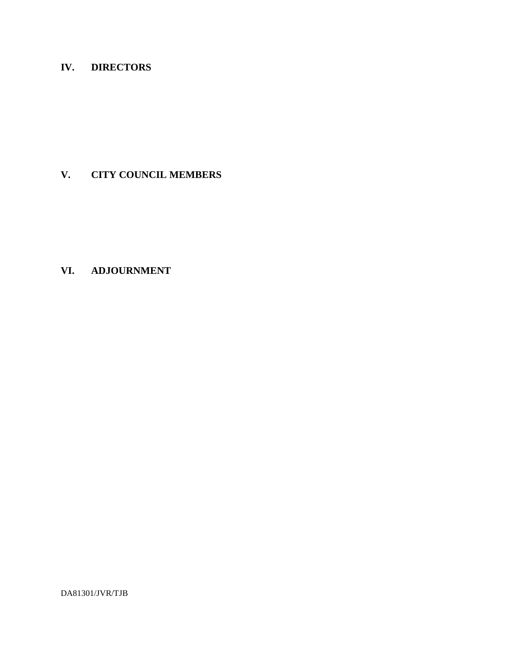# **IV. DIRECTORS**

# **V. CITY COUNCIL MEMBERS**

# **VI. ADJOURNMENT**

DA81301/JVR/TJB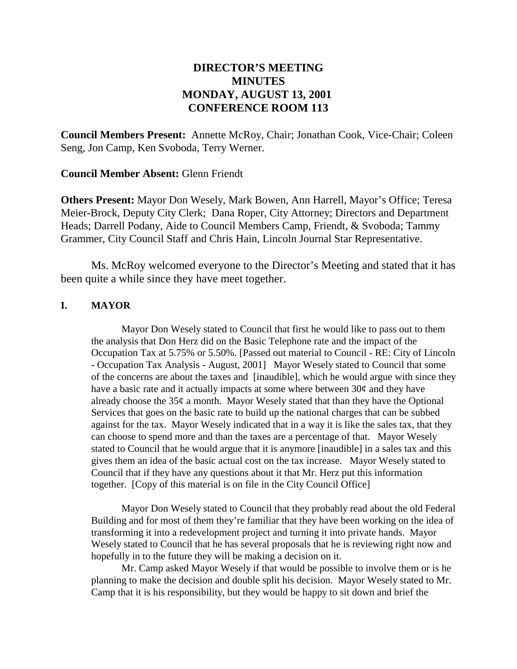# **DIRECTOR'S MEETING MINUTES MONDAY, AUGUST 13, 2001 CONFERENCE ROOM 113**

**Council Members Present:** Annette McRoy, Chair; Jonathan Cook, Vice-Chair; Coleen Seng, Jon Camp, Ken Svoboda, Terry Werner.

## **Council Member Absent:** Glenn Friendt

**Others Present:** Mayor Don Wesely, Mark Bowen, Ann Harrell, Mayor's Office; Teresa Meier-Brock, Deputy City Clerk; Dana Roper, City Attorney; Directors and Department Heads; Darrell Podany, Aide to Council Members Camp, Friendt, & Svoboda; Tammy Grammer, City Council Staff and Chris Hain, Lincoln Journal Star Representative.

Ms. McRoy welcomed everyone to the Director's Meeting and stated that it has been quite a while since they have meet together.

#### **I. MAYOR**

Mayor Don Wesely stated to Council that first he would like to pass out to them the analysis that Don Herz did on the Basic Telephone rate and the impact of the Occupation Tax at 5.75% or 5.50%. [Passed out material to Council - RE: City of Lincoln - Occupation Tax Analysis - August, 2001] Mayor Wesely stated to Council that some of the concerns are about the taxes and [inaudible], which he would argue with since they have a basic rate and it actually impacts at some where between  $30¢$  and they have already choose the  $35¢$  a month. Mayor Wesely stated that than they have the Optional Services that goes on the basic rate to build up the national charges that can be subbed against for the tax. Mayor Wesely indicated that in a way it is like the sales tax, that they can choose to spend more and than the taxes are a percentage of that. Mayor Wesely stated to Council that he would argue that it is anymore [inaudible] in a sales tax and this gives them an idea of the basic actual cost on the tax increase. Mayor Wesely stated to Council that if they have any questions about it that Mr. Herz put this information together. [Copy of this material is on file in the City Council Office]

Mayor Don Wesely stated to Council that they probably read about the old Federal Building and for most of them they're familiar that they have been working on the idea of transforming it into a redevelopment project and turning it into private hands. Mayor Wesely stated to Council that he has several proposals that he is reviewing right now and hopefully in to the future they will be making a decision on it.

Mr. Camp asked Mayor Wesely if that would be possible to involve them or is he planning to make the decision and double split his decision. Mayor Wesely stated to Mr. Camp that it is his responsibility, but they would be happy to sit down and brief the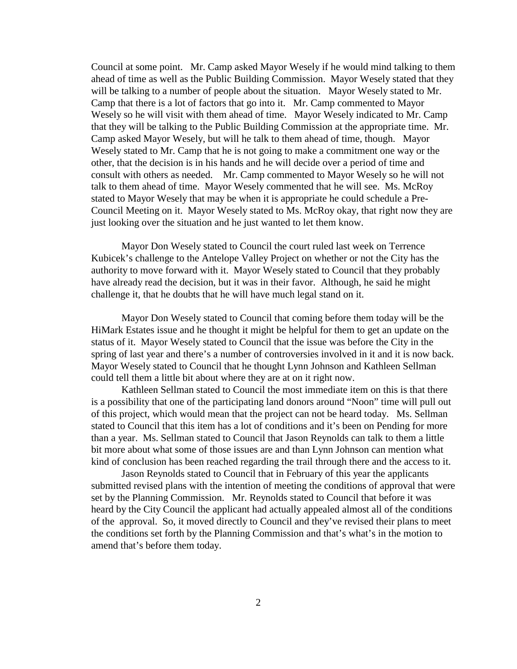Council at some point. Mr. Camp asked Mayor Wesely if he would mind talking to them ahead of time as well as the Public Building Commission. Mayor Wesely stated that they will be talking to a number of people about the situation. Mayor Wesely stated to Mr. Camp that there is a lot of factors that go into it. Mr. Camp commented to Mayor Wesely so he will visit with them ahead of time. Mayor Wesely indicated to Mr. Camp that they will be talking to the Public Building Commission at the appropriate time. Mr. Camp asked Mayor Wesely, but will he talk to them ahead of time, though. Mayor Wesely stated to Mr. Camp that he is not going to make a commitment one way or the other, that the decision is in his hands and he will decide over a period of time and consult with others as needed. Mr. Camp commented to Mayor Wesely so he will not talk to them ahead of time. Mayor Wesely commented that he will see. Ms. McRoy stated to Mayor Wesely that may be when it is appropriate he could schedule a Pre-Council Meeting on it. Mayor Wesely stated to Ms. McRoy okay, that right now they are just looking over the situation and he just wanted to let them know.

Mayor Don Wesely stated to Council the court ruled last week on Terrence Kubicek's challenge to the Antelope Valley Project on whether or not the City has the authority to move forward with it. Mayor Wesely stated to Council that they probably have already read the decision, but it was in their favor. Although, he said he might challenge it, that he doubts that he will have much legal stand on it.

Mayor Don Wesely stated to Council that coming before them today will be the HiMark Estates issue and he thought it might be helpful for them to get an update on the status of it. Mayor Wesely stated to Council that the issue was before the City in the spring of last year and there's a number of controversies involved in it and it is now back. Mayor Wesely stated to Council that he thought Lynn Johnson and Kathleen Sellman could tell them a little bit about where they are at on it right now.

Kathleen Sellman stated to Council the most immediate item on this is that there is a possibility that one of the participating land donors around "Noon" time will pull out of this project, which would mean that the project can not be heard today. Ms. Sellman stated to Council that this item has a lot of conditions and it's been on Pending for more than a year. Ms. Sellman stated to Council that Jason Reynolds can talk to them a little bit more about what some of those issues are and than Lynn Johnson can mention what kind of conclusion has been reached regarding the trail through there and the access to it.

Jason Reynolds stated to Council that in February of this year the applicants submitted revised plans with the intention of meeting the conditions of approval that were set by the Planning Commission. Mr. Reynolds stated to Council that before it was heard by the City Council the applicant had actually appealed almost all of the conditions of the approval. So, it moved directly to Council and they've revised their plans to meet the conditions set forth by the Planning Commission and that's what's in the motion to amend that's before them today.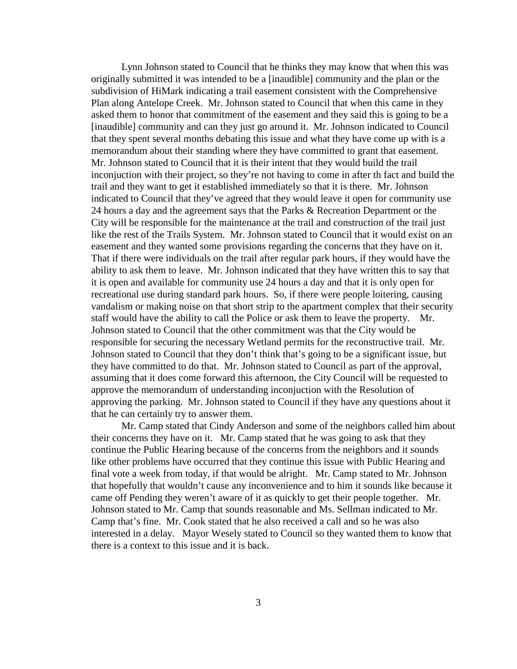Lynn Johnson stated to Council that he thinks they may know that when this was originally submitted it was intended to be a [inaudible] community and the plan or the subdivision of HiMark indicating a trail easement consistent with the Comprehensive Plan along Antelope Creek. Mr. Johnson stated to Council that when this came in they asked them to honor that commitment of the easement and they said this is going to be a [inaudible] community and can they just go around it. Mr. Johnson indicated to Council that they spent several months debating this issue and what they have come up with is a memorandum about their standing where they have committed to grant that easement. Mr. Johnson stated to Council that it is their intent that they would build the trail inconjuction with their project, so they're not having to come in after th fact and build the trail and they want to get it established immediately so that it is there. Mr. Johnson indicated to Council that they've agreed that they would leave it open for community use 24 hours a day and the agreement says that the Parks & Recreation Department or the City will be responsible for the maintenance at the trail and construction of the trail just like the rest of the Trails System. Mr. Johnson stated to Council that it would exist on an easement and they wanted some provisions regarding the concerns that they have on it. That if there were individuals on the trail after regular park hours, if they would have the ability to ask them to leave. Mr. Johnson indicated that they have written this to say that it is open and available for community use 24 hours a day and that it is only open for recreational use during standard park hours. So, if there were people loitering, causing vandalism or making noise on that short strip to the apartment complex that their security staff would have the ability to call the Police or ask them to leave the property. Mr. Johnson stated to Council that the other commitment was that the City would be responsible for securing the necessary Wetland permits for the reconstructive trail. Mr. Johnson stated to Council that they don't think that's going to be a significant issue, but they have committed to do that. Mr. Johnson stated to Council as part of the approval, assuming that it does come forward this afternoon, the City Council will be requested to approve the memorandum of understanding inconjuction with the Resolution of approving the parking. Mr. Johnson stated to Council if they have any questions about it that he can certainly try to answer them.

Mr. Camp stated that Cindy Anderson and some of the neighbors called him about their concerns they have on it. Mr. Camp stated that he was going to ask that they continue the Public Hearing because of the concerns from the neighbors and it sounds like other problems have occurred that they continue this issue with Public Hearing and final vote a week from today, if that would be alright. Mr. Camp stated to Mr. Johnson that hopefully that wouldn't cause any inconvenience and to him it sounds like because it came off Pending they weren't aware of it as quickly to get their people together. Mr. Johnson stated to Mr. Camp that sounds reasonable and Ms. Sellman indicated to Mr. Camp that's fine. Mr. Cook stated that he also received a call and so he was also interested in a delay. Mayor Wesely stated to Council so they wanted them to know that there is a context to this issue and it is back.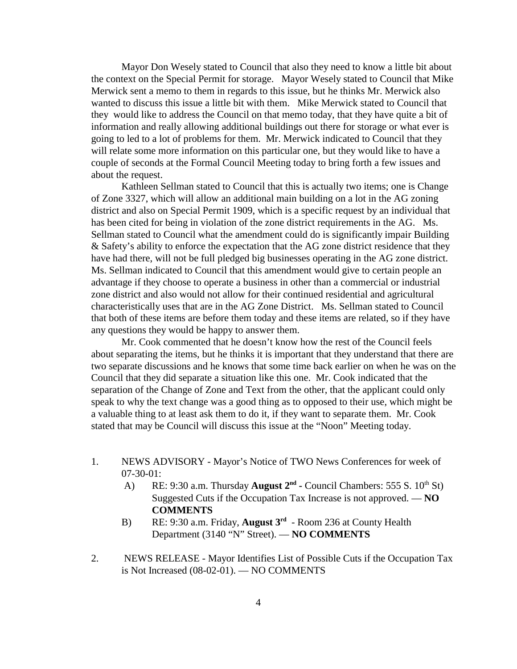Mayor Don Wesely stated to Council that also they need to know a little bit about the context on the Special Permit for storage. Mayor Wesely stated to Council that Mike Merwick sent a memo to them in regards to this issue, but he thinks Mr. Merwick also wanted to discuss this issue a little bit with them. Mike Merwick stated to Council that they would like to address the Council on that memo today, that they have quite a bit of information and really allowing additional buildings out there for storage or what ever is going to led to a lot of problems for them. Mr. Merwick indicated to Council that they will relate some more information on this particular one, but they would like to have a couple of seconds at the Formal Council Meeting today to bring forth a few issues and about the request.

Kathleen Sellman stated to Council that this is actually two items; one is Change of Zone 3327, which will allow an additional main building on a lot in the AG zoning district and also on Special Permit 1909, which is a specific request by an individual that has been cited for being in violation of the zone district requirements in the AG. Ms. Sellman stated to Council what the amendment could do is significantly impair Building & Safety's ability to enforce the expectation that the AG zone district residence that they have had there, will not be full pledged big businesses operating in the AG zone district. Ms. Sellman indicated to Council that this amendment would give to certain people an advantage if they choose to operate a business in other than a commercial or industrial zone district and also would not allow for their continued residential and agricultural characteristically uses that are in the AG Zone District. Ms. Sellman stated to Council that both of these items are before them today and these items are related, so if they have any questions they would be happy to answer them.

Mr. Cook commented that he doesn't know how the rest of the Council feels about separating the items, but he thinks it is important that they understand that there are two separate discussions and he knows that some time back earlier on when he was on the Council that they did separate a situation like this one. Mr. Cook indicated that the separation of the Change of Zone and Text from the other, that the applicant could only speak to why the text change was a good thing as to opposed to their use, which might be a valuable thing to at least ask them to do it, if they want to separate them. Mr. Cook stated that may be Council will discuss this issue at the "Noon" Meeting today.

- 1. NEWS ADVISORY Mayor's Notice of TWO News Conferences for week of 07-30-01:
	- A) RE: 9:30 a.m. Thursday **August 2<sup>nd</sup>** Council Chambers: 555 S. 10<sup>th</sup> St) Suggested Cuts if the Occupation Tax Increase is not approved. — **NO COMMENTS**
	- B) RE: 9:30 a.m. Friday, **August 3rd** Room 236 at County Health Department (3140 "N" Street). — **NO COMMENTS**
- 2. NEWS RELEASE Mayor Identifies List of Possible Cuts if the Occupation Tax is Not Increased (08-02-01). — NO COMMENTS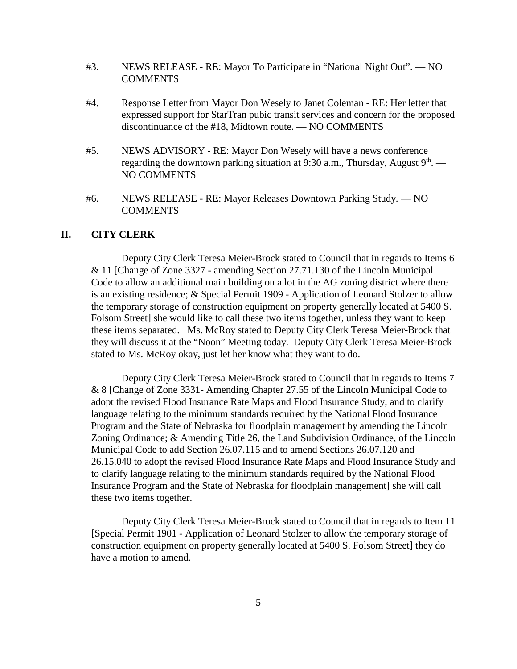- #3. NEWS RELEASE RE: Mayor To Participate in "National Night Out". NO **COMMENTS**
- #4. Response Letter from Mayor Don Wesely to Janet Coleman RE: Her letter that expressed support for StarTran pubic transit services and concern for the proposed discontinuance of the #18, Midtown route. — NO COMMENTS
- #5. NEWS ADVISORY RE: Mayor Don Wesely will have a news conference regarding the downtown parking situation at 9:30 a.m., Thursday, August  $9<sup>th</sup>$ . — NO COMMENTS
- #6. NEWS RELEASE RE: Mayor Releases Downtown Parking Study. NO **COMMENTS**

#### **II. CITY CLERK**

Deputy City Clerk Teresa Meier-Brock stated to Council that in regards to Items 6 & 11 [Change of Zone 3327 - amending Section 27.71.130 of the Lincoln Municipal Code to allow an additional main building on a lot in the AG zoning district where there is an existing residence; & Special Permit 1909 - Application of Leonard Stolzer to allow the temporary storage of construction equipment on property generally located at 5400 S. Folsom Street] she would like to call these two items together, unless they want to keep these items separated. Ms. McRoy stated to Deputy City Clerk Teresa Meier-Brock that they will discuss it at the "Noon" Meeting today. Deputy City Clerk Teresa Meier-Brock stated to Ms. McRoy okay, just let her know what they want to do.

Deputy City Clerk Teresa Meier-Brock stated to Council that in regards to Items 7 & 8 [Change of Zone 3331- Amending Chapter 27.55 of the Lincoln Municipal Code to adopt the revised Flood Insurance Rate Maps and Flood Insurance Study, and to clarify language relating to the minimum standards required by the National Flood Insurance Program and the State of Nebraska for floodplain management by amending the Lincoln Zoning Ordinance; & Amending Title 26, the Land Subdivision Ordinance, of the Lincoln Municipal Code to add Section 26.07.115 and to amend Sections 26.07.120 and 26.15.040 to adopt the revised Flood Insurance Rate Maps and Flood Insurance Study and to clarify language relating to the minimum standards required by the National Flood Insurance Program and the State of Nebraska for floodplain management] she will call these two items together.

Deputy City Clerk Teresa Meier-Brock stated to Council that in regards to Item 11 [Special Permit 1901 - Application of Leonard Stolzer to allow the temporary storage of construction equipment on property generally located at 5400 S. Folsom Street] they do have a motion to amend.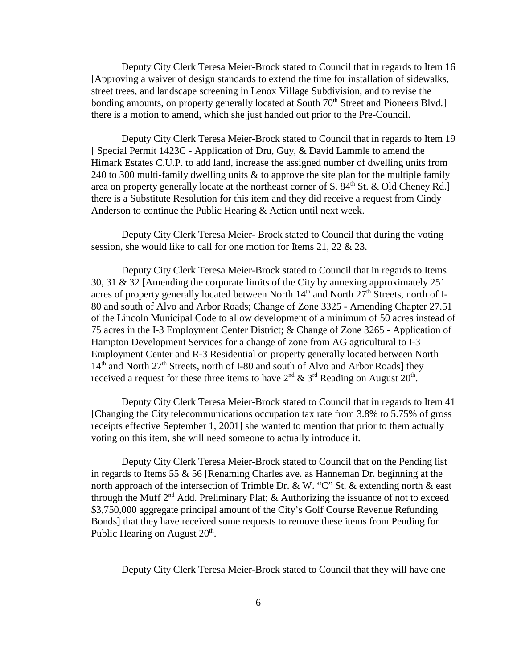Deputy City Clerk Teresa Meier-Brock stated to Council that in regards to Item 16 [Approving a waiver of design standards to extend the time for installation of sidewalks, street trees, and landscape screening in Lenox Village Subdivision, and to revise the bonding amounts, on property generally located at South 70<sup>th</sup> Street and Pioneers Blvd.] there is a motion to amend, which she just handed out prior to the Pre-Council.

Deputy City Clerk Teresa Meier-Brock stated to Council that in regards to Item 19 [ Special Permit 1423C - Application of Dru, Guy, & David Lammle to amend the Himark Estates C.U.P. to add land, increase the assigned number of dwelling units from 240 to 300 multi-family dwelling units & to approve the site plan for the multiple family area on property generally locate at the northeast corner of S. 84<sup>th</sup> St. & Old Cheney Rd. there is a Substitute Resolution for this item and they did receive a request from Cindy Anderson to continue the Public Hearing & Action until next week.

Deputy City Clerk Teresa Meier- Brock stated to Council that during the voting session, she would like to call for one motion for Items 21, 22 & 23.

Deputy City Clerk Teresa Meier-Brock stated to Council that in regards to Items 30, 31 & 32 [Amending the corporate limits of the City by annexing approximately 251 acres of property generally located between North  $14<sup>th</sup>$  and North  $27<sup>th</sup>$  Streets, north of I-80 and south of Alvo and Arbor Roads; Change of Zone 3325 - Amending Chapter 27.51 of the Lincoln Municipal Code to allow development of a minimum of 50 acres instead of 75 acres in the I-3 Employment Center District; & Change of Zone 3265 - Application of Hampton Development Services for a change of zone from AG agricultural to I-3 Employment Center and R-3 Residential on property generally located between North 14<sup>th</sup> and North 27<sup>th</sup> Streets, north of I-80 and south of Alvo and Arbor Roads] they received a request for these three items to have  $2<sup>nd</sup>$  &  $3<sup>rd</sup>$  Reading on August  $20<sup>th</sup>$ .

Deputy City Clerk Teresa Meier-Brock stated to Council that in regards to Item 41 [Changing the City telecommunications occupation tax rate from 3.8% to 5.75% of gross receipts effective September 1, 2001] she wanted to mention that prior to them actually voting on this item, she will need someone to actually introduce it.

Deputy City Clerk Teresa Meier-Brock stated to Council that on the Pending list in regards to Items 55 & 56 [Renaming Charles ave. as Hanneman Dr. beginning at the north approach of the intersection of Trimble Dr. & W. "C" St. & extending north & east through the Muff  $2<sup>nd</sup>$  Add. Preliminary Plat; & Authorizing the issuance of not to exceed \$3,750,000 aggregate principal amount of the City's Golf Course Revenue Refunding Bonds] that they have received some requests to remove these items from Pending for Public Hearing on August  $20<sup>th</sup>$ .

Deputy City Clerk Teresa Meier-Brock stated to Council that they will have one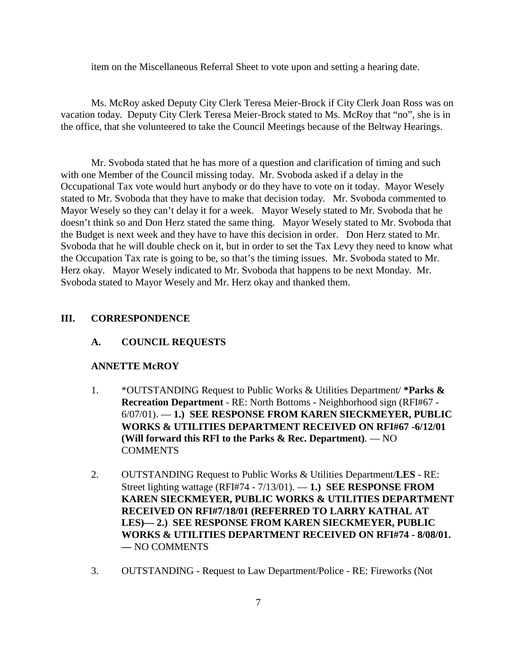item on the Miscellaneous Referral Sheet to vote upon and setting a hearing date.

Ms. McRoy asked Deputy City Clerk Teresa Meier-Brock if City Clerk Joan Ross was on vacation today. Deputy City Clerk Teresa Meier-Brock stated to Ms. McRoy that "no", she is in the office, that she volunteered to take the Council Meetings because of the Beltway Hearings.

Mr. Svoboda stated that he has more of a question and clarification of timing and such with one Member of the Council missing today. Mr. Svoboda asked if a delay in the Occupational Tax vote would hurt anybody or do they have to vote on it today. Mayor Wesely stated to Mr. Svoboda that they have to make that decision today. Mr. Svoboda commented to Mayor Wesely so they can't delay it for a week. Mayor Wesely stated to Mr. Svoboda that he doesn't think so and Don Herz stated the same thing. Mayor Wesely stated to Mr. Svoboda that the Budget is next week and they have to have this decision in order. Don Herz stated to Mr. Svoboda that he will double check on it, but in order to set the Tax Levy they need to know what the Occupation Tax rate is going to be, so that's the timing issues. Mr. Svoboda stated to Mr. Herz okay. Mayor Wesely indicated to Mr. Svoboda that happens to be next Monday. Mr. Svoboda stated to Mayor Wesely and Mr. Herz okay and thanked them.

#### **III. CORRESPONDENCE**

#### **A. COUNCIL REQUESTS**

#### **ANNETTE McROY**

- 1. \*OUTSTANDING Request to Public Works & Utilities Department/ **\*Parks & Recreation Department** - RE: North Bottoms - Neighborhood sign (RFI#67 - 6/07/01). — **1.) SEE RESPONSE FROM KAREN SIECKMEYER, PUBLIC WORKS & UTILITIES DEPARTMENT RECEIVED ON RFI#67 -6/12/01 (Will forward this RFI to the Parks & Rec. Department)**. — NO **COMMENTS**
- 2. OUTSTANDING Request to Public Works & Utilities Department/**LES** RE: Street lighting wattage (RFI#74 - 7/13/01). — **1.) SEE RESPONSE FROM KAREN SIECKMEYER, PUBLIC WORKS & UTILITIES DEPARTMENT RECEIVED ON RFI#7/18/01 (REFERRED TO LARRY KATHAL AT LES)— 2.) SEE RESPONSE FROM KAREN SIECKMEYER, PUBLIC WORKS & UTILITIES DEPARTMENT RECEIVED ON RFI#74 - 8/08/01. —** NO COMMENTS
- 3. OUTSTANDING Request to Law Department/Police RE: Fireworks (Not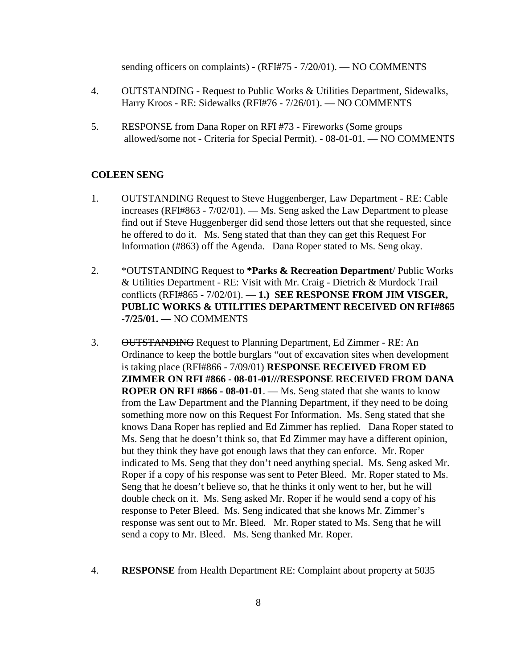sending officers on complaints) - (RFI#75 - 7/20/01). - NO COMMENTS

- 4. OUTSTANDING Request to Public Works & Utilities Department, Sidewalks, Harry Kroos - RE: Sidewalks (RFI#76 - 7/26/01). — NO COMMENTS
- 5. RESPONSE from Dana Roper on RFI #73 Fireworks (Some groups allowed/some not - Criteria for Special Permit). - 08-01-01. — NO COMMENTS

#### **COLEEN SENG**

- 1. OUTSTANDING Request to Steve Huggenberger, Law Department RE: Cable increases (RFI#863 - 7/02/01). — Ms. Seng asked the Law Department to please find out if Steve Huggenberger did send those letters out that she requested, since he offered to do it. Ms. Seng stated that than they can get this Request For Information (#863) off the Agenda. Dana Roper stated to Ms. Seng okay.
- 2. \*OUTSTANDING Request to **\*Parks & Recreation Department**/ Public Works & Utilities Department - RE: Visit with Mr. Craig - Dietrich & Murdock Trail conflicts (RFI#865 - 7/02/01). — **1.) SEE RESPONSE FROM JIM VISGER, PUBLIC WORKS & UTILITIES DEPARTMENT RECEIVED ON RFI#865 -7/25/01. —** NO COMMENTS
- 3. OUTSTANDING Request to Planning Department, Ed Zimmer RE: An Ordinance to keep the bottle burglars "out of excavation sites when development is taking place (RFI#866 - 7/09/01) **RESPONSE RECEIVED FROM ED ZIMMER ON RFI #866 - 08-01-01///RESPONSE RECEIVED FROM DANA ROPER ON RFI #866 - 08-01-01**. — Ms. Seng stated that she wants to know from the Law Department and the Planning Department, if they need to be doing something more now on this Request For Information. Ms. Seng stated that she knows Dana Roper has replied and Ed Zimmer has replied. Dana Roper stated to Ms. Seng that he doesn't think so, that Ed Zimmer may have a different opinion, but they think they have got enough laws that they can enforce. Mr. Roper indicated to Ms. Seng that they don't need anything special. Ms. Seng asked Mr. Roper if a copy of his response was sent to Peter Bleed. Mr. Roper stated to Ms. Seng that he doesn't believe so, that he thinks it only went to her, but he will double check on it. Ms. Seng asked Mr. Roper if he would send a copy of his response to Peter Bleed. Ms. Seng indicated that she knows Mr. Zimmer's response was sent out to Mr. Bleed. Mr. Roper stated to Ms. Seng that he will send a copy to Mr. Bleed. Ms. Seng thanked Mr. Roper.
- 4. **RESPONSE** from Health Department RE: Complaint about property at 5035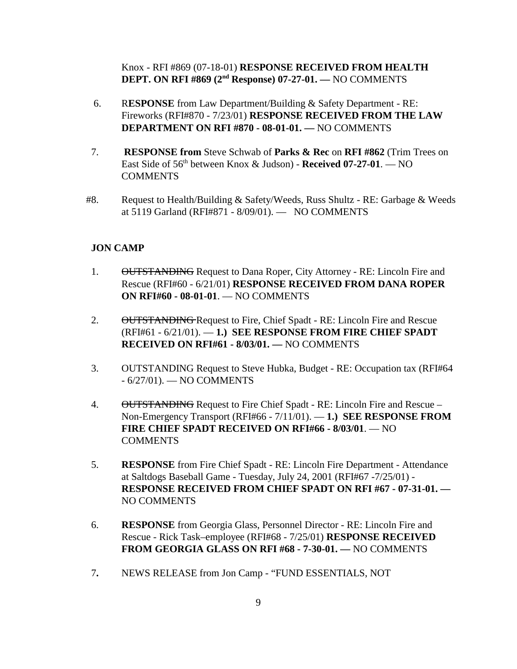Knox - RFI #869 (07-18-01) **RESPONSE RECEIVED FROM HEALTH DEPT. ON RFI #869 (2nd Response) 07-27-01. —** NO COMMENTS

- 6. R**ESPONSE** from Law Department/Building & Safety Department RE: Fireworks (RFI#870 - 7/23/01) **RESPONSE RECEIVED FROM THE LAW DEPARTMENT ON RFI #870 - 08-01-01. —** NO COMMENTS
- 7. **RESPONSE from** Steve Schwab of **Parks & Rec** on **RFI #862** (Trim Trees on East Side of 56<sup>th</sup> between Knox & Judson) - **Received 07-27-01**. — NO **COMMENTS**
- #8. Request to Health/Building  $&$  Safety/Weeds, Russ Shultz RE: Garbage  $&$  Weeds at 5119 Garland (RFI#871 - 8/09/01). — NO COMMENTS

## **JON CAMP**

- 1. OUTSTANDING Request to Dana Roper, City Attorney RE: Lincoln Fire and Rescue (RFI#60 - 6/21/01) **RESPONSE RECEIVED FROM DANA ROPER ON RFI#60 - 08-01-01**. — NO COMMENTS
- 2. OUTSTANDING Request to Fire, Chief Spadt RE: Lincoln Fire and Rescue (RFI#61 - 6/21/01). — **1.) SEE RESPONSE FROM FIRE CHIEF SPADT RECEIVED ON RFI#61 - 8/03/01. —** NO COMMENTS
- 3. OUTSTANDING Request to Steve Hubka, Budget RE: Occupation tax (RFI#64 - 6/27/01). — NO COMMENTS
- 4. OUTSTANDING Request to Fire Chief Spadt RE: Lincoln Fire and Rescue Non-Emergency Transport (RFI#66 - 7/11/01). — **1.) SEE RESPONSE FROM FIRE CHIEF SPADT RECEIVED ON RFI#66 - 8/03/01**. — NO **COMMENTS**
- 5. **RESPONSE** from Fire Chief Spadt RE: Lincoln Fire Department Attendance at Saltdogs Baseball Game - Tuesday, July 24, 2001 (RFI#67 -7/25/01) - **RESPONSE RECEIVED FROM CHIEF SPADT ON RFI #67 - 07-31-01. —** NO COMMENTS
- 6. **RESPONSE** from Georgia Glass, Personnel Director RE: Lincoln Fire and Rescue - Rick Task–employee (RFI#68 - 7/25/01) **RESPONSE RECEIVED FROM GEORGIA GLASS ON RFI #68 - 7-30-01. —** NO COMMENTS
- 7**.** NEWS RELEASE from Jon Camp "FUND ESSENTIALS, NOT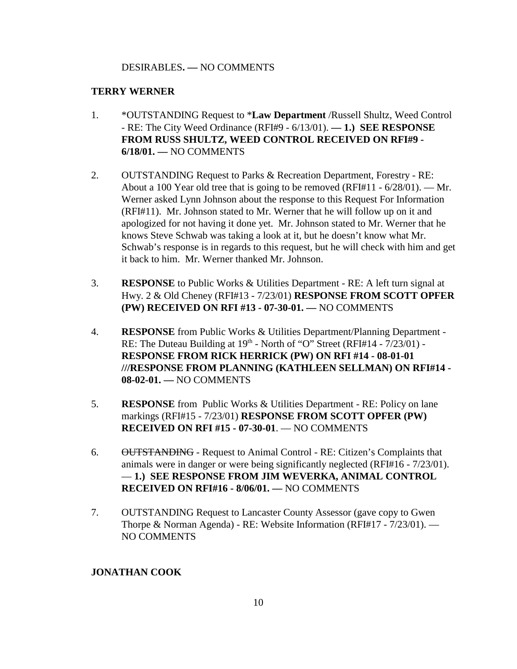#### DESIRABLES**. —** NO COMMENTS

#### **TERRY WERNER**

- 1. \*OUTSTANDING Request to \***Law Department** /Russell Shultz, Weed Control - RE: The City Weed Ordinance (RFI#9 - 6/13/01). **— 1.) SEE RESPONSE FROM RUSS SHULTZ, WEED CONTROL RECEIVED ON RFI#9 - 6/18/01. —** NO COMMENTS
- 2. OUTSTANDING Request to Parks & Recreation Department, Forestry RE: About a 100 Year old tree that is going to be removed (RFI#11 -  $6/28/01$ ). — Mr. Werner asked Lynn Johnson about the response to this Request For Information (RFI#11). Mr. Johnson stated to Mr. Werner that he will follow up on it and apologized for not having it done yet. Mr. Johnson stated to Mr. Werner that he knows Steve Schwab was taking a look at it, but he doesn't know what Mr. Schwab's response is in regards to this request, but he will check with him and get it back to him. Mr. Werner thanked Mr. Johnson.
- 3. **RESPONSE** to Public Works & Utilities Department RE: A left turn signal at Hwy. 2 & Old Cheney (RFI#13 - 7/23/01) **RESPONSE FROM SCOTT OPFER (PW) RECEIVED ON RFI #13 - 07-30-01. —** NO COMMENTS
- 4. **RESPONSE** from Public Works & Utilities Department/Planning Department RE: The Duteau Building at  $19<sup>th</sup>$  - North of "O" Street (RFI#14 -  $7/23/01$ ) -**RESPONSE FROM RICK HERRICK (PW) ON RFI #14 - 08-01-01 ///RESPONSE FROM PLANNING (KATHLEEN SELLMAN) ON RFI#14 - 08-02-01. —** NO COMMENTS
- 5. **RESPONSE** from Public Works & Utilities Department RE: Policy on lane markings (RFI#15 - 7/23/01) **RESPONSE FROM SCOTT OPFER (PW) RECEIVED ON RFI #15 - 07-30-01**. — NO COMMENTS
- 6. OUTSTANDING Request to Animal Control RE: Citizen's Complaints that animals were in danger or were being significantly neglected (RFI#16 - 7/23/01). — **1.) SEE RESPONSE FROM JIM WEVERKA, ANIMAL CONTROL RECEIVED ON RFI#16 - 8/06/01. —** NO COMMENTS
- 7. OUTSTANDING Request to Lancaster County Assessor (gave copy to Gwen Thorpe & Norman Agenda) - RE: Website Information (RFI#17 - 7/23/01). — NO COMMENTS

## **JONATHAN COOK**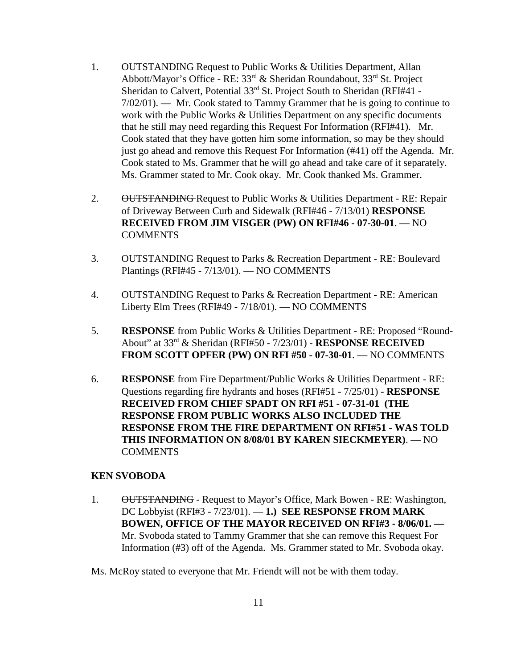- 1. OUTSTANDING Request to Public Works & Utilities Department, Allan Abbott/Mayor's Office - RE: 33rd & Sheridan Roundabout, 33rd St. Project Sheridan to Calvert, Potential 33<sup>rd</sup> St. Project South to Sheridan (RFI#41 -7/02/01). — Mr. Cook stated to Tammy Grammer that he is going to continue to work with the Public Works & Utilities Department on any specific documents that he still may need regarding this Request For Information (RFI#41). Mr. Cook stated that they have gotten him some information, so may be they should just go ahead and remove this Request For Information (#41) off the Agenda. Mr. Cook stated to Ms. Grammer that he will go ahead and take care of it separately. Ms. Grammer stated to Mr. Cook okay. Mr. Cook thanked Ms. Grammer.
- 2. OUTSTANDING Request to Public Works & Utilities Department RE: Repair of Driveway Between Curb and Sidewalk (RFI#46 - 7/13/01) **RESPONSE RECEIVED FROM JIM VISGER (PW) ON RFI#46 - 07-30-01**. — NO **COMMENTS**
- 3. OUTSTANDING Request to Parks & Recreation Department RE: Boulevard Plantings (RFI#45 - 7/13/01). — NO COMMENTS
- 4. OUTSTANDING Request to Parks & Recreation Department RE: American Liberty Elm Trees (RFI#49 - 7/18/01). — NO COMMENTS
- 5. **RESPONSE** from Public Works & Utilities Department RE: Proposed "Round-About" at 33rd & Sheridan (RFI#50 - 7/23/01) - **RESPONSE RECEIVED FROM SCOTT OPFER (PW) ON RFI #50 - 07-30-01**. — NO COMMENTS
- 6. **RESPONSE** from Fire Department/Public Works & Utilities Department RE: Questions regarding fire hydrants and hoses (RFI#51 - 7/25/01) - **RESPONSE RECEIVED FROM CHIEF SPADT ON RFI #51 - 07-31-01 (THE RESPONSE FROM PUBLIC WORKS ALSO INCLUDED THE RESPONSE FROM THE FIRE DEPARTMENT ON RFI#51 - WAS TOLD THIS INFORMATION ON 8/08/01 BY KAREN SIECKMEYER)**. — NO **COMMENTS**

#### **KEN SVOBODA**

1. OUTSTANDING - Request to Mayor's Office, Mark Bowen - RE: Washington, DC Lobbyist (RFI#3 - 7/23/01). — **1.) SEE RESPONSE FROM MARK BOWEN, OFFICE OF THE MAYOR RECEIVED ON RFI#3 - 8/06/01. —**  Mr. Svoboda stated to Tammy Grammer that she can remove this Request For Information (#3) off of the Agenda. Ms. Grammer stated to Mr. Svoboda okay.

Ms. McRoy stated to everyone that Mr. Friendt will not be with them today.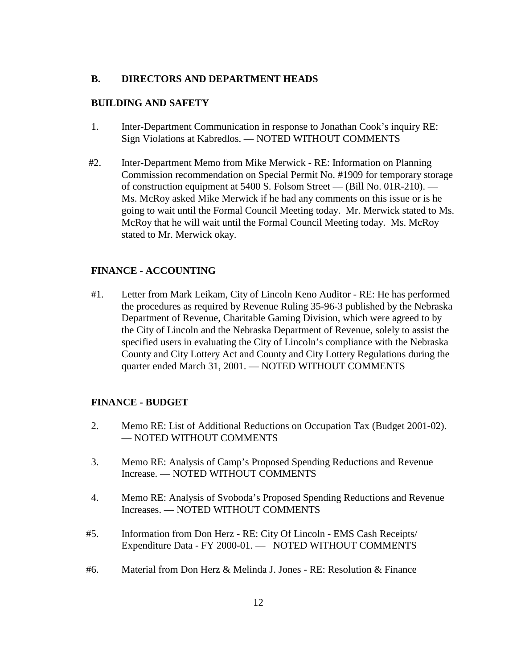#### **B. DIRECTORS AND DEPARTMENT HEADS**

#### **BUILDING AND SAFETY**

- 1. Inter-Department Communication in response to Jonathan Cook's inquiry RE: Sign Violations at Kabredlos. — NOTED WITHOUT COMMENTS
- #2. Inter-Department Memo from Mike Merwick RE: Information on Planning Commission recommendation on Special Permit No. #1909 for temporary storage of construction equipment at 5400 S. Folsom Street — (Bill No. 01R-210). — Ms. McRoy asked Mike Merwick if he had any comments on this issue or is he going to wait until the Formal Council Meeting today. Mr. Merwick stated to Ms. McRoy that he will wait until the Formal Council Meeting today. Ms. McRoy stated to Mr. Merwick okay.

## **FINANCE - ACCOUNTING**

#1. Letter from Mark Leikam, City of Lincoln Keno Auditor - RE: He has performed the procedures as required by Revenue Ruling 35-96-3 published by the Nebraska Department of Revenue, Charitable Gaming Division, which were agreed to by the City of Lincoln and the Nebraska Department of Revenue, solely to assist the specified users in evaluating the City of Lincoln's compliance with the Nebraska County and City Lottery Act and County and City Lottery Regulations during the quarter ended March 31, 2001. — NOTED WITHOUT COMMENTS

#### **FINANCE - BUDGET**

- 2. Memo RE: List of Additional Reductions on Occupation Tax (Budget 2001-02). — NOTED WITHOUT COMMENTS
- 3. Memo RE: Analysis of Camp's Proposed Spending Reductions and Revenue Increase. — NOTED WITHOUT COMMENTS
- 4. Memo RE: Analysis of Svoboda's Proposed Spending Reductions and Revenue Increases. — NOTED WITHOUT COMMENTS
- #5. Information from Don Herz RE: City Of Lincoln EMS Cash Receipts/ Expenditure Data - FY 2000-01. — NOTED WITHOUT COMMENTS
- #6. Material from Don Herz & Melinda J. Jones RE: Resolution & Finance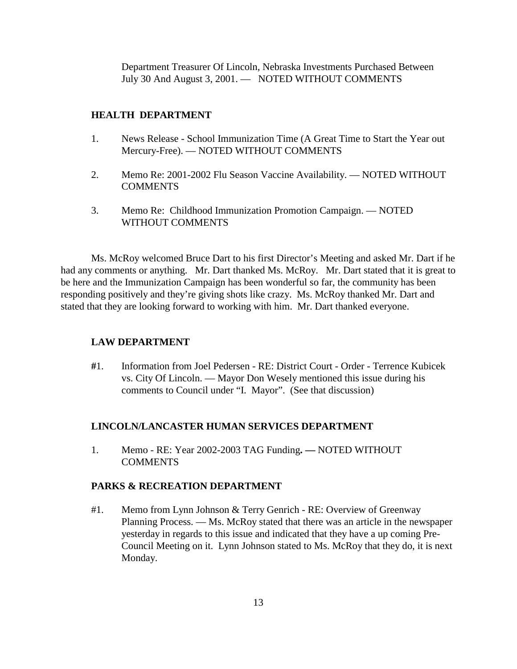Department Treasurer Of Lincoln, Nebraska Investments Purchased Between July 30 And August 3, 2001. — NOTED WITHOUT COMMENTS

## **HEALTH DEPARTMENT**

- 1. News Release School Immunization Time (A Great Time to Start the Year out Mercury-Free). — NOTED WITHOUT COMMENTS
- 2. Memo Re: 2001-2002 Flu Season Vaccine Availability. NOTED WITHOUT **COMMENTS**
- 3. Memo Re: Childhood Immunization Promotion Campaign. NOTED WITHOUT COMMENTS

Ms. McRoy welcomed Bruce Dart to his first Director's Meeting and asked Mr. Dart if he had any comments or anything. Mr. Dart thanked Ms. McRoy. Mr. Dart stated that it is great to be here and the Immunization Campaign has been wonderful so far, the community has been responding positively and they're giving shots like crazy. Ms. McRoy thanked Mr. Dart and stated that they are looking forward to working with him. Mr. Dart thanked everyone.

## **LAW DEPARTMENT**

**#**1. Information from Joel Pedersen - RE: District Court - Order - Terrence Kubicek vs. City Of Lincoln. — Mayor Don Wesely mentioned this issue during his comments to Council under "I. Mayor". (See that discussion)

## **LINCOLN/LANCASTER HUMAN SERVICES DEPARTMENT**

1. Memo - RE: Year 2002-2003 TAG Funding**. —** NOTED WITHOUT COMMENTS

## **PARKS & RECREATION DEPARTMENT**

#1. Memo from Lynn Johnson & Terry Genrich - RE: Overview of Greenway Planning Process. — Ms. McRoy stated that there was an article in the newspaper yesterday in regards to this issue and indicated that they have a up coming Pre-Council Meeting on it. Lynn Johnson stated to Ms. McRoy that they do, it is next Monday.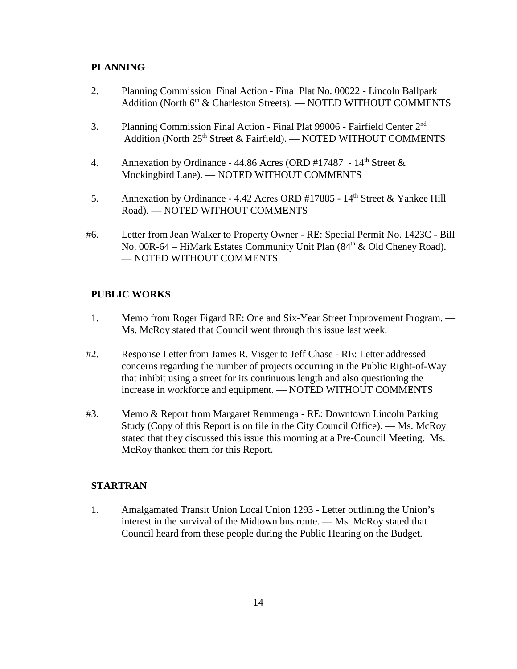## **PLANNING**

- 2. Planning Commission Final Action Final Plat No. 00022 Lincoln Ballpark Addition (North 6<sup>th</sup> & Charleston Streets). — NOTED WITHOUT COMMENTS
- 3. Planning Commission Final Action Final Plat 99006 Fairfield Center 2nd Addition (North 25<sup>th</sup> Street & Fairfield). — NOTED WITHOUT COMMENTS
- 4. Annexation by Ordinance 44.86 Acres (ORD #17487  $14<sup>th</sup>$  Street & Mockingbird Lane). — NOTED WITHOUT COMMENTS
- 5. Annexation by Ordinance 4.42 Acres ORD #17885 14<sup>th</sup> Street & Yankee Hill Road). — NOTED WITHOUT COMMENTS
- #6. Letter from Jean Walker to Property Owner RE: Special Permit No. 1423C Bill No. 00R-64 – HiMark Estates Community Unit Plan (84<sup>th</sup> & Old Cheney Road). — NOTED WITHOUT COMMENTS

## **PUBLIC WORKS**

- 1. Memo from Roger Figard RE: One and Six-Year Street Improvement Program. Ms. McRoy stated that Council went through this issue last week.
- #2. Response Letter from James R. Visger to Jeff Chase RE: Letter addressed concerns regarding the number of projects occurring in the Public Right-of-Way that inhibit using a street for its continuous length and also questioning the increase in workforce and equipment. — NOTED WITHOUT COMMENTS
- #3. Memo & Report from Margaret Remmenga RE: Downtown Lincoln Parking Study (Copy of this Report is on file in the City Council Office). — Ms. McRoy stated that they discussed this issue this morning at a Pre-Council Meeting. Ms. McRoy thanked them for this Report.

## **STARTRAN**

1. Amalgamated Transit Union Local Union 1293 - Letter outlining the Union's interest in the survival of the Midtown bus route. — Ms. McRoy stated that Council heard from these people during the Public Hearing on the Budget.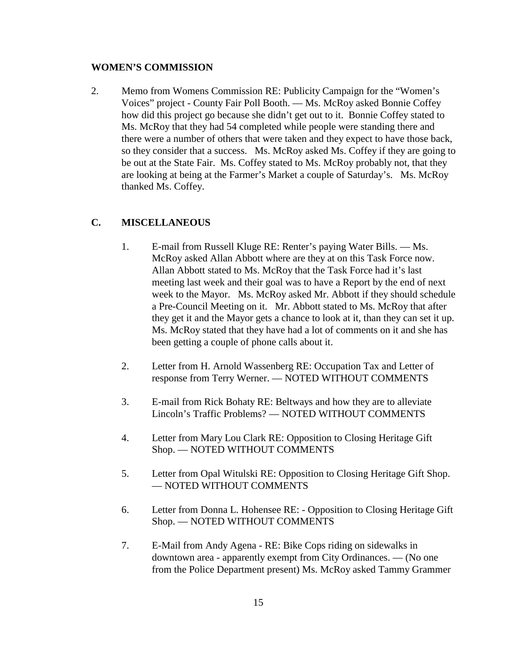#### **WOMEN'S COMMISSION**

2. Memo from Womens Commission RE: Publicity Campaign for the "Women's Voices" project - County Fair Poll Booth. — Ms. McRoy asked Bonnie Coffey how did this project go because she didn't get out to it. Bonnie Coffey stated to Ms. McRoy that they had 54 completed while people were standing there and there were a number of others that were taken and they expect to have those back, so they consider that a success. Ms. McRoy asked Ms. Coffey if they are going to be out at the State Fair. Ms. Coffey stated to Ms. McRoy probably not, that they are looking at being at the Farmer's Market a couple of Saturday's. Ms. McRoy thanked Ms. Coffey.

## **C. MISCELLANEOUS**

- 1. E-mail from Russell Kluge RE: Renter's paying Water Bills. Ms. McRoy asked Allan Abbott where are they at on this Task Force now. Allan Abbott stated to Ms. McRoy that the Task Force had it's last meeting last week and their goal was to have a Report by the end of next week to the Mayor. Ms. McRoy asked Mr. Abbott if they should schedule a Pre-Council Meeting on it. Mr. Abbott stated to Ms. McRoy that after they get it and the Mayor gets a chance to look at it, than they can set it up. Ms. McRoy stated that they have had a lot of comments on it and she has been getting a couple of phone calls about it.
- 2. Letter from H. Arnold Wassenberg RE: Occupation Tax and Letter of response from Terry Werner. — NOTED WITHOUT COMMENTS
- 3. E-mail from Rick Bohaty RE: Beltways and how they are to alleviate Lincoln's Traffic Problems? — NOTED WITHOUT COMMENTS
- 4. Letter from Mary Lou Clark RE: Opposition to Closing Heritage Gift Shop. — NOTED WITHOUT COMMENTS
- 5. Letter from Opal Witulski RE: Opposition to Closing Heritage Gift Shop. — NOTED WITHOUT COMMENTS
- 6. Letter from Donna L. Hohensee RE: Opposition to Closing Heritage Gift Shop. — NOTED WITHOUT COMMENTS
- 7. E-Mail from Andy Agena RE: Bike Cops riding on sidewalks in downtown area - apparently exempt from City Ordinances. — (No one from the Police Department present) Ms. McRoy asked Tammy Grammer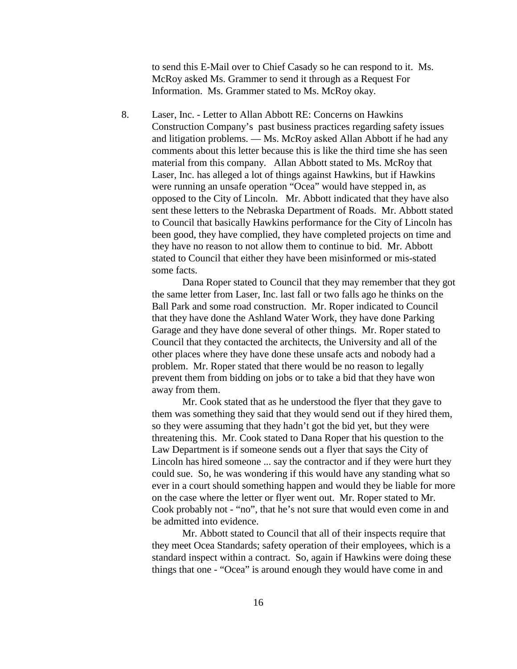to send this E-Mail over to Chief Casady so he can respond to it. Ms. McRoy asked Ms. Grammer to send it through as a Request For Information. Ms. Grammer stated to Ms. McRoy okay.

8. Laser, Inc. - Letter to Allan Abbott RE: Concerns on Hawkins Construction Company's past business practices regarding safety issues and litigation problems. — Ms. McRoy asked Allan Abbott if he had any comments about this letter because this is like the third time she has seen material from this company. Allan Abbott stated to Ms. McRoy that Laser, Inc. has alleged a lot of things against Hawkins, but if Hawkins were running an unsafe operation "Ocea" would have stepped in, as opposed to the City of Lincoln. Mr. Abbott indicated that they have also sent these letters to the Nebraska Department of Roads. Mr. Abbott stated to Council that basically Hawkins performance for the City of Lincoln has been good, they have complied, they have completed projects on time and they have no reason to not allow them to continue to bid. Mr. Abbott stated to Council that either they have been misinformed or mis-stated some facts.

Dana Roper stated to Council that they may remember that they got the same letter from Laser, Inc. last fall or two falls ago he thinks on the Ball Park and some road construction. Mr. Roper indicated to Council that they have done the Ashland Water Work, they have done Parking Garage and they have done several of other things. Mr. Roper stated to Council that they contacted the architects, the University and all of the other places where they have done these unsafe acts and nobody had a problem. Mr. Roper stated that there would be no reason to legally prevent them from bidding on jobs or to take a bid that they have won away from them.

Mr. Cook stated that as he understood the flyer that they gave to them was something they said that they would send out if they hired them, so they were assuming that they hadn't got the bid yet, but they were threatening this. Mr. Cook stated to Dana Roper that his question to the Law Department is if someone sends out a flyer that says the City of Lincoln has hired someone ... say the contractor and if they were hurt they could sue. So, he was wondering if this would have any standing what so ever in a court should something happen and would they be liable for more on the case where the letter or flyer went out. Mr. Roper stated to Mr. Cook probably not - "no", that he's not sure that would even come in and be admitted into evidence.

Mr. Abbott stated to Council that all of their inspects require that they meet Ocea Standards; safety operation of their employees, which is a standard inspect within a contract. So, again if Hawkins were doing these things that one - "Ocea" is around enough they would have come in and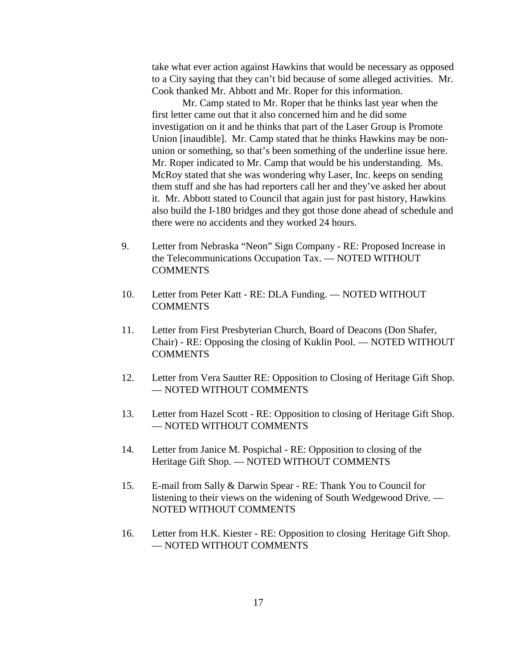take what ever action against Hawkins that would be necessary as opposed to a City saying that they can't bid because of some alleged activities. Mr. Cook thanked Mr. Abbott and Mr. Roper for this information.

Mr. Camp stated to Mr. Roper that he thinks last year when the first letter came out that it also concerned him and he did some investigation on it and he thinks that part of the Laser Group is Promote Union [inaudible]. Mr. Camp stated that he thinks Hawkins may be nonunion or something, so that's been something of the underline issue here. Mr. Roper indicated to Mr. Camp that would be his understanding. Ms. McRoy stated that she was wondering why Laser, Inc. keeps on sending them stuff and she has had reporters call her and they've asked her about it. Mr. Abbott stated to Council that again just for past history, Hawkins also build the I-180 bridges and they got those done ahead of schedule and there were no accidents and they worked 24 hours.

- 9. Letter from Nebraska "Neon" Sign Company RE: Proposed Increase in the Telecommunications Occupation Tax. — NOTED WITHOUT **COMMENTS**
- 10. Letter from Peter Katt RE: DLA Funding. NOTED WITHOUT **COMMENTS**
- 11. Letter from First Presbyterian Church, Board of Deacons (Don Shafer, Chair) - RE: Opposing the closing of Kuklin Pool. — NOTED WITHOUT **COMMENTS**
- 12. Letter from Vera Sautter RE: Opposition to Closing of Heritage Gift Shop. — NOTED WITHOUT COMMENTS
- 13. Letter from Hazel Scott RE: Opposition to closing of Heritage Gift Shop. — NOTED WITHOUT COMMENTS
- 14. Letter from Janice M. Pospichal RE: Opposition to closing of the Heritage Gift Shop. — NOTED WITHOUT COMMENTS
- 15. E-mail from Sally & Darwin Spear RE: Thank You to Council for listening to their views on the widening of South Wedgewood Drive. — NOTED WITHOUT COMMENTS
- 16. Letter from H.K. Kiester RE: Opposition to closing Heritage Gift Shop. — NOTED WITHOUT COMMENTS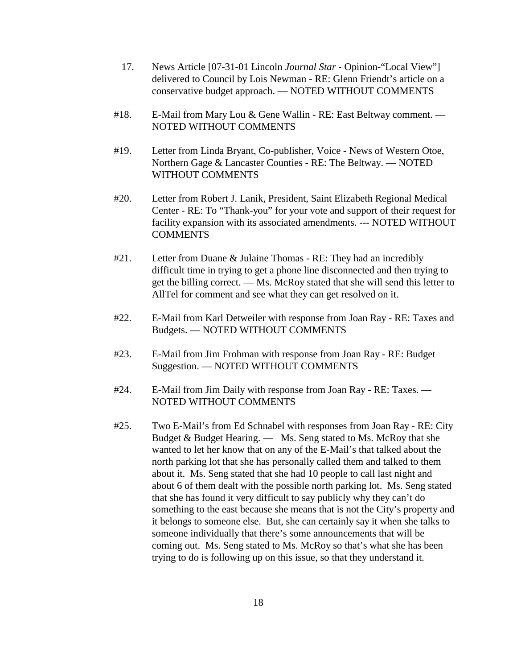- 17. News Article [07-31-01 Lincoln *Journal Star* Opinion-"Local View"] delivered to Council by Lois Newman - RE: Glenn Friendt's article on a conservative budget approach. — NOTED WITHOUT COMMENTS
- #18. E-Mail from Mary Lou & Gene Wallin RE: East Beltway comment. NOTED WITHOUT COMMENTS
- #19. Letter from Linda Bryant, Co-publisher, Voice News of Western Otoe, Northern Gage & Lancaster Counties - RE: The Beltway. — NOTED WITHOUT COMMENTS
- #20. Letter from Robert J. Lanik, President, Saint Elizabeth Regional Medical Center - RE: To "Thank-you" for your vote and support of their request for facility expansion with its associated amendments. --- NOTED WITHOUT **COMMENTS**
- #21. Letter from Duane & Julaine Thomas RE: They had an incredibly difficult time in trying to get a phone line disconnected and then trying to get the billing correct. — Ms. McRoy stated that she will send this letter to AllTel for comment and see what they can get resolved on it.
- #22. E-Mail from Karl Detweiler with response from Joan Ray RE: Taxes and Budgets. — NOTED WITHOUT COMMENTS
- #23. E-Mail from Jim Frohman with response from Joan Ray RE: Budget Suggestion. — NOTED WITHOUT COMMENTS
- #24. E-Mail from Jim Daily with response from Joan Ray RE: Taxes. NOTED WITHOUT COMMENTS
- #25. Two E-Mail's from Ed Schnabel with responses from Joan Ray RE: City Budget & Budget Hearing. — Ms. Seng stated to Ms. McRoy that she wanted to let her know that on any of the E-Mail's that talked about the north parking lot that she has personally called them and talked to them about it. Ms. Seng stated that she had 10 people to call last night and about 6 of them dealt with the possible north parking lot. Ms. Seng stated that she has found it very difficult to say publicly why they can't do something to the east because she means that is not the City's property and it belongs to someone else. But, she can certainly say it when she talks to someone individually that there's some announcements that will be coming out. Ms. Seng stated to Ms. McRoy so that's what she has been trying to do is following up on this issue, so that they understand it.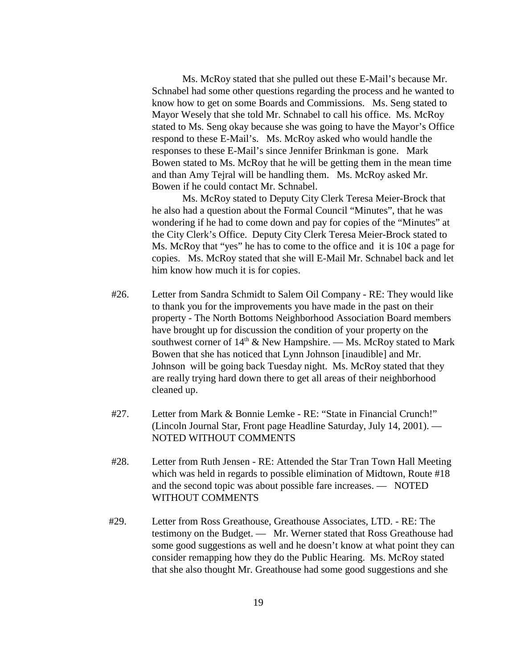Ms. McRoy stated that she pulled out these E-Mail's because Mr. Schnabel had some other questions regarding the process and he wanted to know how to get on some Boards and Commissions. Ms. Seng stated to Mayor Wesely that she told Mr. Schnabel to call his office. Ms. McRoy stated to Ms. Seng okay because she was going to have the Mayor's Office respond to these E-Mail's. Ms. McRoy asked who would handle the responses to these E-Mail's since Jennifer Brinkman is gone. Mark Bowen stated to Ms. McRoy that he will be getting them in the mean time and than Amy Tejral will be handling them. Ms. McRoy asked Mr. Bowen if he could contact Mr. Schnabel.

Ms. McRoy stated to Deputy City Clerk Teresa Meier-Brock that he also had a question about the Formal Council "Minutes", that he was wondering if he had to come down and pay for copies of the "Minutes" at the City Clerk's Office. Deputy City Clerk Teresa Meier-Brock stated to Ms. McRoy that "yes" he has to come to the office and it is  $10¢$  a page for copies. Ms. McRoy stated that she will E-Mail Mr. Schnabel back and let him know how much it is for copies.

- #26. Letter from Sandra Schmidt to Salem Oil Company RE: They would like to thank you for the improvements you have made in the past on their property - The North Bottoms Neighborhood Association Board members have brought up for discussion the condition of your property on the southwest corner of  $14<sup>th</sup>$  & New Hampshire. — Ms. McRoy stated to Mark Bowen that she has noticed that Lynn Johnson [inaudible] and Mr. Johnson will be going back Tuesday night. Ms. McRoy stated that they are really trying hard down there to get all areas of their neighborhood cleaned up.
- #27. Letter from Mark & Bonnie Lemke RE: "State in Financial Crunch!" (Lincoln Journal Star, Front page Headline Saturday, July 14, 2001). — NOTED WITHOUT COMMENTS
- #28. Letter from Ruth Jensen RE: Attended the Star Tran Town Hall Meeting which was held in regards to possible elimination of Midtown, Route #18 and the second topic was about possible fare increases. — NOTED WITHOUT COMMENTS
- #29. Letter from Ross Greathouse, Greathouse Associates, LTD. RE: The testimony on the Budget. — Mr. Werner stated that Ross Greathouse had some good suggestions as well and he doesn't know at what point they can consider remapping how they do the Public Hearing. Ms. McRoy stated that she also thought Mr. Greathouse had some good suggestions and she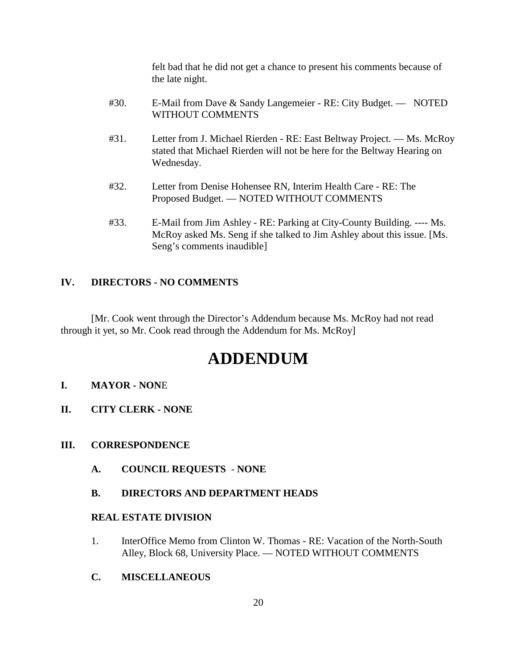felt bad that he did not get a chance to present his comments because of the late night.

| #30. | E-Mail from Dave & Sandy Langemeier - RE: City Budget. — NOTED<br>WITHOUT COMMENTS                                                                                                                                                    |
|------|---------------------------------------------------------------------------------------------------------------------------------------------------------------------------------------------------------------------------------------|
| #31. | Letter from J. Michael Rierden - RE: East Beltway Project. — Ms. McRoy<br>$\mathcal{L}$ and $\mathcal{L}$ are the contract that $\mathcal{L}$ and $\mathcal{L}$ and $\mathcal{L}$ and $\mathcal{L}$ are the contract of $\mathcal{L}$ |

- stated that Michael Rierden will not be here for the Beltway Hearing on Wednesday.
- #32. Letter from Denise Hohensee RN, Interim Health Care RE: The Proposed Budget. — NOTED WITHOUT COMMENTS
- #33. E-Mail from Jim Ashley RE: Parking at City-County Building. ---- Ms. McRoy asked Ms. Seng if she talked to Jim Ashley about this issue. [Ms. Seng's comments inaudible]

## **IV. DIRECTORS - NO COMMENTS**

[Mr. Cook went through the Director's Addendum because Ms. McRoy had not read through it yet, so Mr. Cook read through the Addendum for Ms. McRoy]

# **ADDENDUM**

## **I. MAYOR - NON**E

**II. CITY CLERK - NONE**

## **III. CORRESPONDENCE**

**A. COUNCIL REQUESTS** - **NONE**

## **B. DIRECTORS AND DEPARTMENT HEADS**

## **REAL ESTATE DIVISION**

- 1. InterOffice Memo from Clinton W. Thomas RE: Vacation of the North-South Alley, Block 68, University Place. — NOTED WITHOUT COMMENTS
- **C. MISCELLANEOUS**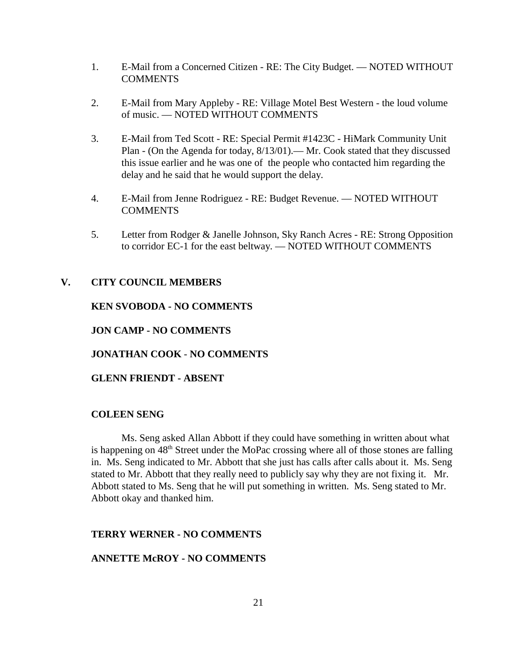- 1. E-Mail from a Concerned Citizen RE: The City Budget. NOTED WITHOUT COMMENTS
- 2. E-Mail from Mary Appleby RE: Village Motel Best Western the loud volume of music. — NOTED WITHOUT COMMENTS
- 3. E-Mail from Ted Scott RE: Special Permit #1423C HiMark Community Unit Plan - (On the Agenda for today, 8/13/01).— Mr. Cook stated that they discussed this issue earlier and he was one of the people who contacted him regarding the delay and he said that he would support the delay.
- 4. E-Mail from Jenne Rodriguez RE: Budget Revenue. NOTED WITHOUT **COMMENTS**
- 5. Letter from Rodger & Janelle Johnson, Sky Ranch Acres RE: Strong Opposition to corridor EC-1 for the east beltway. — NOTED WITHOUT COMMENTS

#### **V. CITY COUNCIL MEMBERS**

## **KEN SVOBODA - NO COMMENTS**

**JON CAMP - NO COMMENTS**

#### **JONATHAN COOK** - **NO COMMENTS**

## **GLENN FRIENDT - ABSENT**

#### **COLEEN SENG**

Ms. Seng asked Allan Abbott if they could have something in written about what is happening on 48<sup>th</sup> Street under the MoPac crossing where all of those stones are falling in. Ms. Seng indicated to Mr. Abbott that she just has calls after calls about it. Ms. Seng stated to Mr. Abbott that they really need to publicly say why they are not fixing it. Mr. Abbott stated to Ms. Seng that he will put something in written. Ms. Seng stated to Mr. Abbott okay and thanked him.

#### **TERRY WERNER - NO COMMENTS**

#### **ANNETTE McROY - NO COMMENTS**